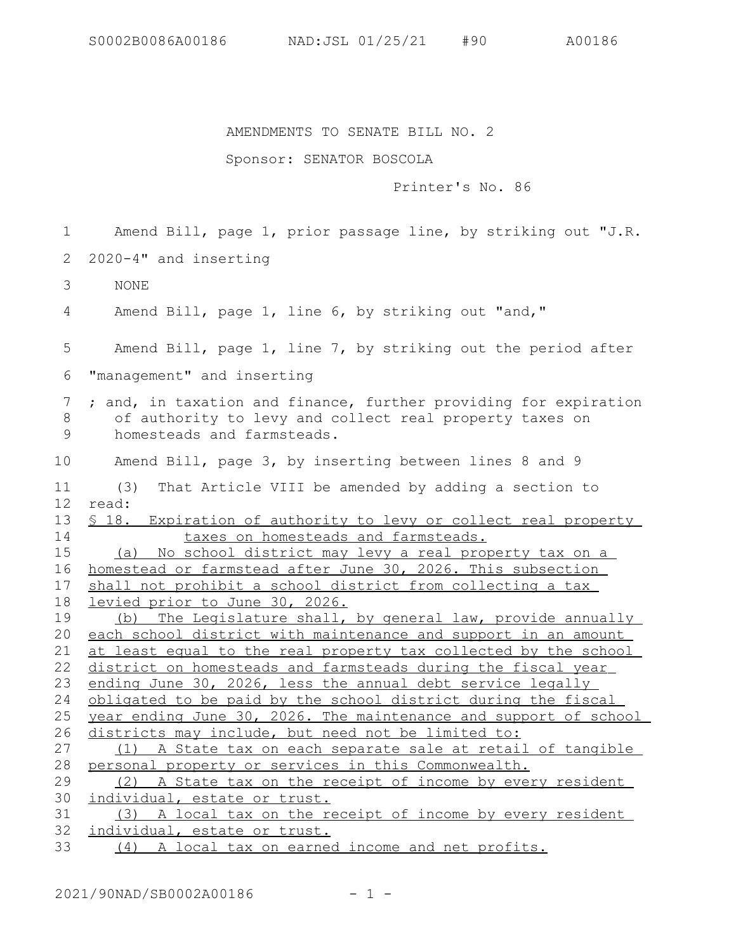## AMENDMENTS TO SENATE BILL NO. 2

## Sponsor: SENATOR BOSCOLA

## Printer's No. 86

Amend Bill, page 1, prior passage line, by striking out "J.R. 2020-4" and inserting NONE Amend Bill, page 1, line 6, by striking out "and," Amend Bill, page 1, line 7, by striking out the period after "management" and inserting ; and, in taxation and finance, further providing for expiration of authority to levy and collect real property taxes on homesteads and farmsteads. Amend Bill, page 3, by inserting between lines 8 and 9 (3) That Article VIII be amended by adding a section to read: § 18. Expiration of authority to levy or collect real property taxes on homesteads and farmsteads. (a) No school district may levy a real property tax on a homestead or farmstead after June 30, 2026. This subsection shall not prohibit a school district from collecting a tax levied prior to June 30, 2026. (b) The Legislature shall, by general law, provide annually each school district with maintenance and support in an amount at least equal to the real property tax collected by the school district on homesteads and farmsteads during the fiscal year ending June 30, 2026, less the annual debt service legally obligated to be paid by the school district during the fiscal year ending June 30, 2026. The maintenance and support of school districts may include, but need not be limited to: (1) A State tax on each separate sale at retail of tangible personal property or services in this Commonwealth. (2) A State tax on the receipt of income by every resident individual, estate or trust. (3) A local tax on the receipt of income by every resident individual, estate or trust. (4) A local tax on earned income and net profits. 1 2 3 4 5 6 7 8 9 10 11 12 13 14 15 16 17 18 19 20 21 22 23 24 25 26 27 28 29 30 31 32 33